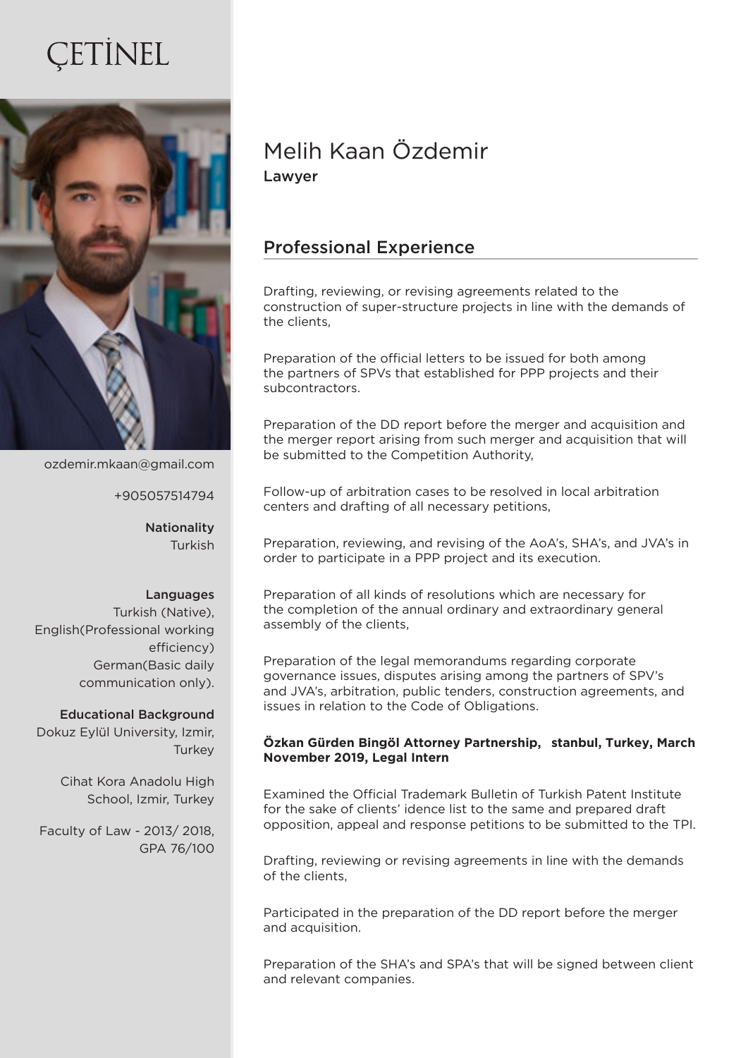# ETINEL



ozdemir.mkaan@gmail.com

+905057514794

Nationality Turkish

#### Languages

Turkish (Native), English(Professional working efficiency) German(Basic daily communication only).

#### Educational Background

Dokuz Eylül University, Izmir, **Turkey** 

> Cihat Kora Anadolu High School, Izmir, Turkey

Faculty of Law - 2013/ 2018, GPA 76/100

## Melih Kaan Özdemir Lawyer

### Professional Experience

Drafting, reviewing, or revising agreements related to the construction of super-structure projects in line with the demands of the clients,

Preparation of the official letters to be issued for both among the partners of SPVs that established for PPP projects and their subcontractors.

Preparation of the DD report before the merger and acquisition and the merger report arising from such merger and acquisition that will be submitted to the Competition Authority,

Follow-up of arbitration cases to be resolved in local arbitration centers and drafting of all necessary petitions,

Preparation, reviewing, and revising of the AoA's, SHA's, and JVA's in order to participate in a PPP project and its execution.

Preparation of all kinds of resolutions which are necessary for the completion of the annual ordinary and extraordinary general assembly of the clients,

Preparation of the legal memorandums regarding corporate governance issues, disputes arising among the partners of SPV's and JVA's, arbitration, public tenders, construction agreements, and issues in relation to the Code of Obligations.

#### Özkan Gürden Bingöl Attorney Partnership, stanbul, Turkey, March **November 2019, Legal Intern**

Examined the Official Trademark Bulletin of Turkish Patent Institute for the sake of clients' idence list to the same and prepared draft opposition, appeal and response petitions to be submitted to the TPI.

Drafting, reviewing or revising agreements in line with the demands of the clients,

Participated in the preparation of the DD report before the merger and acquisition.

Preparation of the SHA's and SPA's that will be signed between client and relevant companies.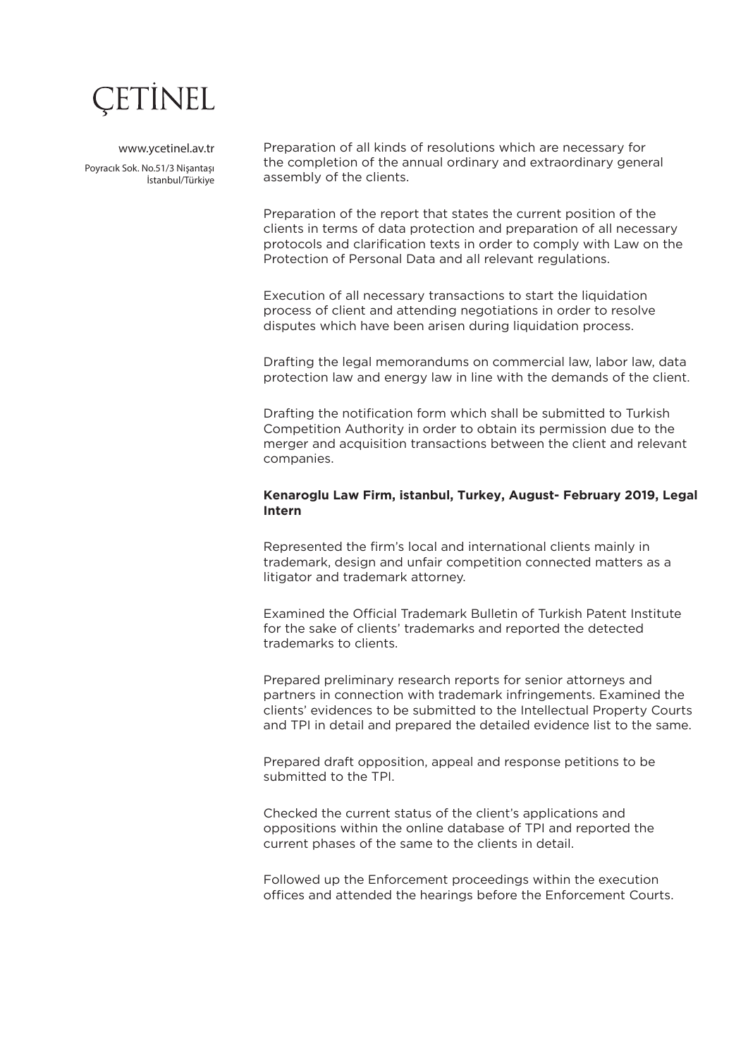

www.ycetinel.av.tr Poyracık Sok. No.51/3 Nişantaşı İstanbul/Türkiye Preparation of all kinds of resolutions which are necessary for the completion of the annual ordinary and extraordinary general assembly of the clients.

Preparation of the report that states the current position of the clients in terms of data protection and preparation of all necessary protocols and clarification texts in order to comply with Law on the Protection of Personal Data and all relevant regulations.

Execution of all necessary transactions to start the liquidation process of client and attending negotiations in order to resolve disputes which have been arisen during liquidation process.

Drafting the legal memorandums on commercial law, labor law, data protection law and energy law in line with the demands of the client.

Drafting the notification form which shall be submitted to Turkish Competition Authority in order to obtain its permission due to the merger and acquisition transactions between the client and relevant companies.

#### **Kenaroglu Law Firm, istanbul, Turkey, August- February 2019, Legal Intern**

Represented the firm's local and international clients mainly in trademark, design and unfair competition connected matters as a litigator and trademark attorney.

Examined the Official Trademark Bulletin of Turkish Patent Institute for the sake of clients' trademarks and reported the detected trademarks to clients.

Prepared preliminary research reports for senior attorneys and partners in connection with trademark infringements. Examined the clients' evidences to be submitted to the Intellectual Property Courts and TPI in detail and prepared the detailed evidence list to the same.

Prepared draft opposition, appeal and response petitions to be submitted to the TPI.

Checked the current status of the client's applications and oppositions within the online database of TPI and reported the current phases of the same to the clients in detail.

Followed up the Enforcement proceedings within the execution offices and attended the hearings before the Enforcement Courts.